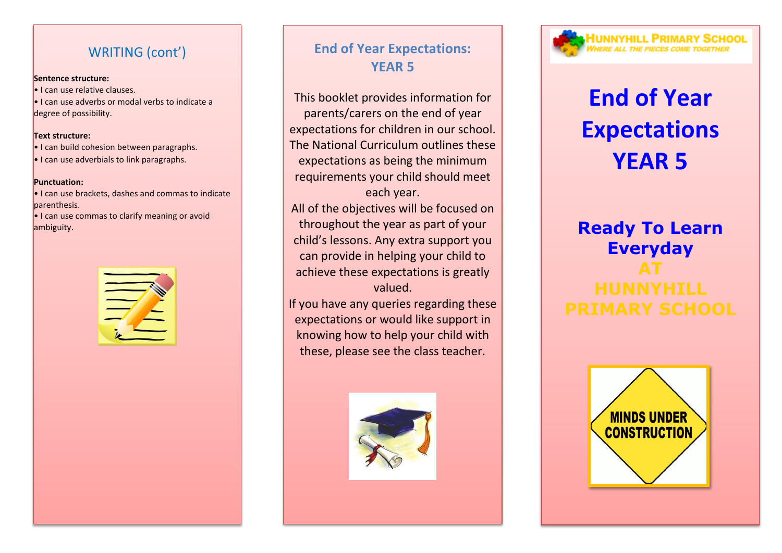### WRITING (cont')

#### **Sentence structure:**

• I can use relative clauses.

• I can use adverbs or modal verbs to indicate a degree of possibility.

#### **Text structure:**

• I can build cohesion between paragraphs.

• I can use adverbials to link paragraphs.

#### **Punctuation:**

• I can use brackets, dashes and commas to indicate parenthesis.

• I can use commas to clarify meaning or avoid ambiguity.



# **End of Year Expectations: YEAR 5**

This booklet provides information for parents/carers on the end of year expectations for children in our school. The National Curriculum outlines these expectations as being the minimum requirements your child should meet each year.

All of the objectives will be focused on throughout the year as part of your child's lessons. Any extra support you can provide in helping your child to achieve these expectations is greatly valued.

If you have any queries regarding these expectations or would like support in knowing how to help your child with these, please see the class teacher.



# **IUNNYHILL PRIMARY SCHOOL**

# **End of Year Expectations YEAR 5**

# **Ready To Learn Everyday AT**